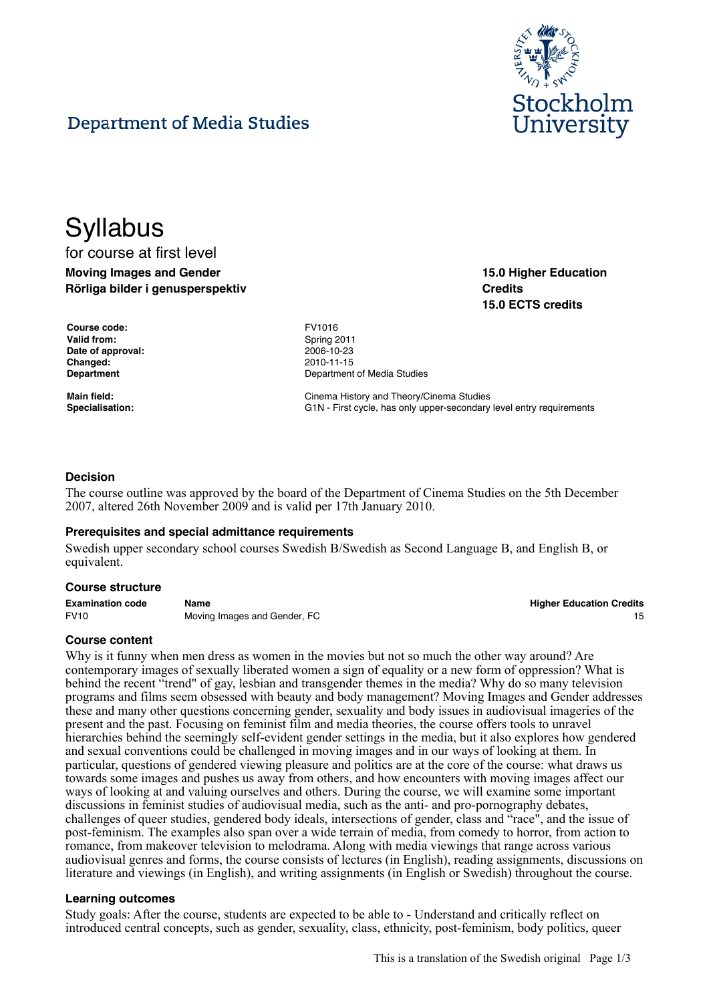

**15.0 Higher Education**

**15.0 ECTS credits**

**Credits**

# **Department of Media Studies**

# **Syllabus**

# for course at first level **Moving Images and Gender Rörliga bilder i genusperspektiv**

| Course code:       |
|--------------------|
| <b>Valid from:</b> |
| Date of approval:  |
| Changed:           |
| Department         |

**Course code:** FV1016 **Valid from:** Spring 2011 **Date of approval:** 2006-10-23 **Changed:** 2010-11-15 **Department of Media Studies** 

**Main field:** Cinema History and Theory/Cinema Studies Specialisation: **G1N** - First cycle, has only upper-secondary level entry requirements

#### **Decision**

The course outline was approved by the board of the Department of Cinema Studies on the 5th December 2007, altered 26th November 2009 and is valid per 17th January 2010.

#### **Prerequisites and special admittance requirements**

Swedish upper secondary school courses Swedish B/Swedish as Second Language B, and English B, or equivalent.

#### **Course structure**

| <b>Examination code</b> | Name                         | <b>Higher Education Credits</b> |
|-------------------------|------------------------------|---------------------------------|
| <b>FV10</b>             | Moving Images and Gender, FC |                                 |

#### **Course content**

Why is it funny when men dress as women in the movies but not so much the other way around? Are contemporary images of sexually liberated women a sign of equality or a new form of oppression? What is behind the recent "trend" of gay, lesbian and transgender themes in the media? Why do so many television programs and films seem obsessed with beauty and body management? Moving Images and Gender addresses these and many other questions concerning gender, sexuality and body issues in audiovisual imageries of the present and the past. Focusing on feminist film and media theories, the course offers tools to unravel hierarchies behind the seemingly self-evident gender settings in the media, but it also explores how gendered and sexual conventions could be challenged in moving images and in our ways of looking at them. In particular, questions of gendered viewing pleasure and politics are at the core of the course: what draws us towards some images and pushes us away from others, and how encounters with moving images affect our ways of looking at and valuing ourselves and others. During the course, we will examine some important discussions in feminist studies of audiovisual media, such as the anti- and pro-pornography debates, challenges of queer studies, gendered body ideals, intersections of gender, class and "race", and the issue of post-feminism. The examples also span over a wide terrain of media, from comedy to horror, from action to romance, from makeover television to melodrama. Along with media viewings that range across various audiovisual genres and forms, the course consists of lectures (in English), reading assignments, discussions on literature and viewings (in English), and writing assignments (in English or Swedish) throughout the course.

#### **Learning outcomes**

Study goals: After the course, students are expected to be able to - Understand and critically reflect on introduced central concepts, such as gender, sexuality, class, ethnicity, post-feminism, body politics, queer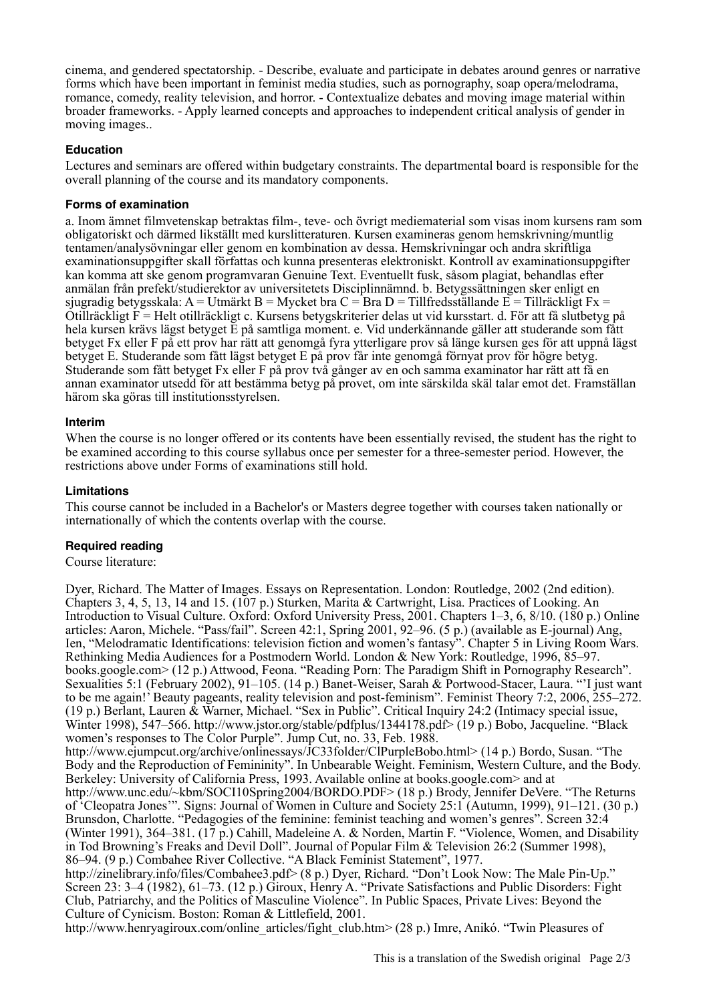cinema, and gendered spectatorship. - Describe, evaluate and participate in debates around genres or narrative forms which have been important in feminist media studies, such as pornography, soap opera/melodrama, romance, comedy, reality television, and horror. - Contextualize debates and moving image material within broader frameworks. - Apply learned concepts and approaches to independent critical analysis of gender in moving images..

# **Education**

Lectures and seminars are offered within budgetary constraints. The departmental board is responsible for the overall planning of the course and its mandatory components.

# **Forms of examination**

a. Inom ämnet filmvetenskap betraktas film-, teve- och övrigt mediematerial som visas inom kursens ram som obligatoriskt och därmed likställt med kurslitteraturen. Kursen examineras genom hemskrivning/muntlig tentamen/analysövningar eller genom en kombination av dessa. Hemskrivningar och andra skriftliga examinationsuppgifter skall författas och kunna presenteras elektroniskt. Kontroll av examinationsuppgifter kan komma att ske genom programvaran Genuine Text. Eventuellt fusk, såsom plagiat, behandlas efter anmälan från prefekt/studierektor av universitetets Disciplinnämnd. b. Betygssättningen sker enligt en sjugradig betygsskala: A = Utmärkt B = Mycket bra C = Bra D = Tillfredsställande E = Tillräckligt Fx = Otillräckligt F = Helt otillräckligt c. Kursens betygskriterier delas ut vid kursstart. d. För att få slutbetyg på hela kursen krävs lägst betyget E på samtliga moment. e. Vid underkännande gäller att studerande som fått betyget Fx eller F på ett prov har rätt att genomgå fyra ytterligare prov så länge kursen ges för att uppnå lägst betyget E. Studerande som fått lägst betyget E på prov får inte genomgå förnyat prov för högre betyg. Studerande som fått betyget Fx eller F på prov två gånger av en och samma examinator har rätt att få en annan examinator utsedd för att bestämma betyg på provet, om inte särskilda skäl talar emot det. Framställan härom ska göras till institutionsstyrelsen.

# **Interim**

When the course is no longer offered or its contents have been essentially revised, the student has the right to be examined according to this course syllabus once per semester for a three-semester period. However, the restrictions above under Forms of examinations still hold.

# **Limitations**

This course cannot be included in a Bachelor's or Masters degree together with courses taken nationally or internationally of which the contents overlap with the course.

# **Required reading**

Course literature:

Dyer, Richard. The Matter of Images. Essays on Representation. London: Routledge, 2002 (2nd edition). Chapters 3, 4, 5, 13, 14 and 15. (107 p.) Sturken, Marita & Cartwright, Lisa. Practices of Looking. An Introduction to Visual Culture. Oxford: Oxford University Press, 2001. Chapters 1–3, 6, 8/10. (180 p.) Online articles: Aaron, Michele. "Pass/fail". Screen 42:1, Spring 2001, 92–96. (5 p.) (available as E-journal) Ang, Ien, "Melodramatic Identifications: television fiction and women's fantasy". Chapter 5 in Living Room Wars. Rethinking Media Audiences for a Postmodern World. London & New York: Routledge, 1996, 85–97. books.google.com> (12 p.) Attwood, Feona. "Reading Porn: The Paradigm Shift in Pornography Research". Sexualities 5:1 (February 2002), 91–105. (14 p.) Banet-Weiser, Sarah & Portwood-Stacer, Laura. "'I just want to be me again!' Beauty pageants, reality television and post-feminism". Feminist Theory 7:2, 2006, 255–272. (19 p.) Berlant, Lauren & Warner, Michael. "Sex in Public". Critical Inquiry 24:2 (Intimacy special issue, Winter 1998), 547–566. http://www.jstor.org/stable/pdfplus/1344178.pdf> (19 p.) Bobo, Jacqueline. "Black women's responses to The Color Purple". Jump Cut, no. 33, Feb. 1988. http://www.ejumpcut.org/archive/onlinessays/JC33folder/ClPurpleBobo.html> (14 p.) Bordo, Susan. "The Body and the Reproduction of Femininity". In Unbearable Weight. Feminism, Western Culture, and the Body. Berkeley: University of California Press, 1993. Available online at books.google.com> and at http://www.unc.edu/~kbm/SOCI10Spring2004/BORDO.PDF> (18 p.) Brody, Jennifer DeVere. "The Returns of 'Cleopatra Jones'". Signs: Journal of Women in Culture and Society 25:1 (Autumn, 1999), 91–121. (30 p.) Brunsdon, Charlotte. "Pedagogies of the feminine: feminist teaching and women's genres". Screen 32:4 (Winter 1991), 364–381. (17 p.) Cahill, Madeleine A. & Norden, Martin F. "Violence, Women, and Disability in Tod Browning's Freaks and Devil Doll". Journal of Popular Film & Television 26:2 (Summer 1998), 86–94. (9 p.) Combahee River Collective. "A Black Feminist Statement", 1977. http://zinelibrary.info/files/Combahee3.pdf> (8 p.) Dyer, Richard. "Don't Look Now: The Male Pin-Up." Screen 23: 3–4 (1982), 61–73. (12 p.) Giroux, Henry A. "Private Satisfactions and Public Disorders: Fight Club, Patriarchy, and the Politics of Masculine Violence". In Public Spaces, Private Lives: Beyond the Culture of Cynicism. Boston: Roman & Littlefield, 2001. http://www.henryagiroux.com/online\_articles/fight\_club.htm> (28 p.) Imre, Anikó. "Twin Pleasures of